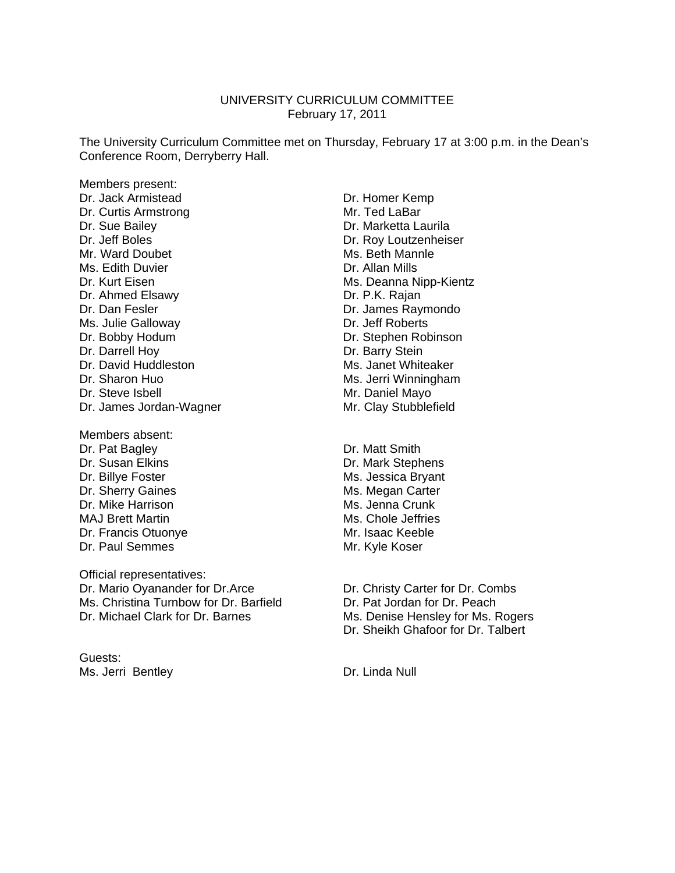#### UNIVERSITY CURRICULUM COMMITTEE February 17, 2011

The University Curriculum Committee met on Thursday, February 17 at 3:00 p.m. in the Dean's Conference Room, Derryberry Hall.

Members present: Dr. Jack Armistead Dr. Homer Kemp Dr. Curtis Armstrong Mr. Ted LaBar Dr. Sue Bailey **Dr. Marketta Laurila** Dr. Jeff Boles **Dr. Roy Loutzenheiser** Mr. Ward Doubet **Mr. Ward Doubet** Ms. Beth Mannle Ms. Edith Duvier **Dr. Allan Mills** Dr. Kurt Eisen Ms. Deanna Nipp-Kientz Dr. Ahmed Elsawy Dr. P.K. Rajan Dr. Dan Fesler **Dr. James Raymondo** Ms. Julie Galloway **Dr. Jeff Roberts** Dr. Bobby Hodum Dr. Stephen Robinson Dr. Darrell Hoy **Dr. Barry Stein** Dr. David Huddleston Ms. Janet Whiteaker Dr. Sharon Huo **Ms.** Jerri Winningham Dr. Steve Isbell Mayo Dr. James Jordan-Wagner Mr. Clay Stubblefield Members absent: Dr. Pat Bagley **Dr. Matt Smith** 

Dr. Susan Elkins **Dr. Mark Stephens** Dr. Billye Foster Ms. Jessica Bryant Dr. Sherry Gaines **Ms. Megan Carter** Dr. Mike Harrison **Ms. Jenna Crunk** MAJ Brett Martin Ms. Chole Jeffries Dr. Francis Otuonye Mr. Isaac Keeble Dr. Paul Semmes Mr. Kyle Koser

Official representatives: Dr. Mario Oyanander for Dr.Arce **Dr. Christy Carter for Dr. Combs** Ms. Christina Turnbow for Dr. Barfield **Dr. Pat Jordan for Dr. Peach** Dr. Michael Clark for Dr. Barnes Ms. Denise Hensley for Ms. Rogers

Guests: Ms. Jerri Bentley **Dr. Linda Null** 

Dr. Sheikh Ghafoor for Dr. Talbert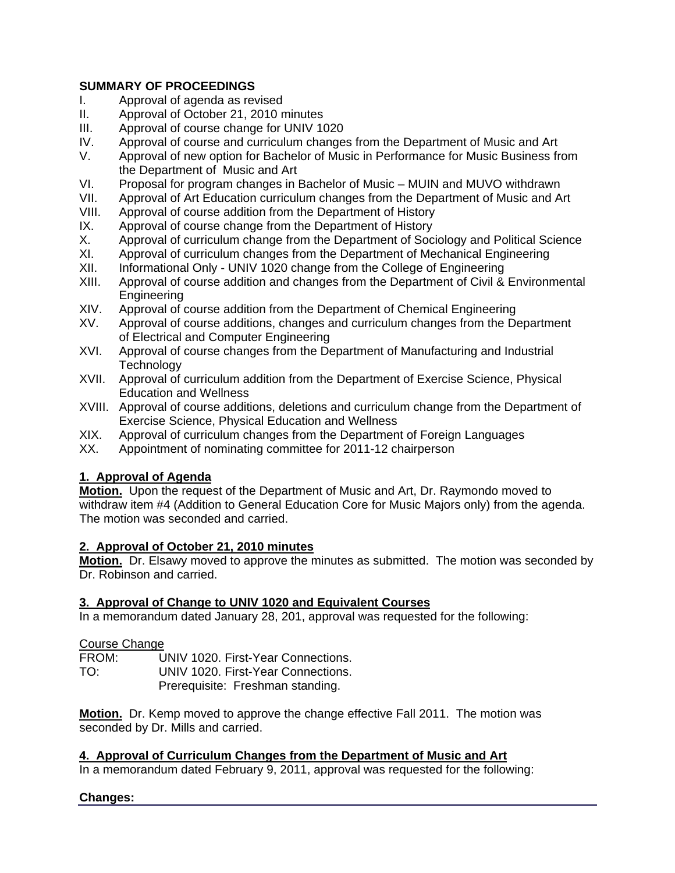# **SUMMARY OF PROCEEDINGS**

- I. Approval of agenda as revised
- II. Approval of October 21, 2010 minutes<br>III. Approval of course change for UNIV 10
- Approval of course change for UNIV 1020
- IV. Approval of course and curriculum changes from the Department of Music and Art
- V. Approval of new option for Bachelor of Music in Performance for Music Business from the Department of Music and Art
- VI. Proposal for program changes in Bachelor of Music MUIN and MUVO withdrawn
- VII. Approval of Art Education curriculum changes from the Department of Music and Art
- VIII. Approval of course addition from the Department of History
- IX. Approval of course change from the Department of History
- X. Approval of curriculum change from the Department of Sociology and Political Science
- XI. Approval of curriculum changes from the Department of Mechanical Engineering
- XII. Informational Only UNIV 1020 change from the College of Engineering
- XIII. Approval of course addition and changes from the Department of Civil & Environmental Engineering<br>XIV. Approval of d
- Approval of course addition from the Department of Chemical Engineering
- XV. Approval of course additions, changes and curriculum changes from the Department of Electrical and Computer Engineering
- XVI. Approval of course changes from the Department of Manufacturing and Industrial **Technology**
- XVII. Approval of curriculum addition from the Department of Exercise Science, Physical Education and Wellness
- XVIII. Approval of course additions, deletions and curriculum change from the Department of Exercise Science, Physical Education and Wellness
- XIX. Approval of curriculum changes from the Department of Foreign Languages
- XX. Appointment of nominating committee for 2011-12 chairperson

# **1. Approval of Agenda**

**Motion.** Upon the request of the Department of Music and Art, Dr. Raymondo moved to withdraw item #4 (Addition to General Education Core for Music Majors only) from the agenda. The motion was seconded and carried.

# **2. Approval of October 21, 2010 minutes**

**Motion.** Dr. Elsawy moved to approve the minutes as submitted. The motion was seconded by Dr. Robinson and carried.

# **3. Approval of Change to UNIV 1020 and Equivalent Courses**

In a memorandum dated January 28, 201, approval was requested for the following:

Course Change

FROM: UNIV 1020. First-Year Connections.

TO: UNIV 1020. First-Year Connections.

Prerequisite: Freshman standing.

**Motion.** Dr. Kemp moved to approve the change effective Fall 2011. The motion was seconded by Dr. Mills and carried.

# **4. Approval of Curriculum Changes from the Department of Music and Art**

In a memorandum dated February 9, 2011, approval was requested for the following:

# **Changes:**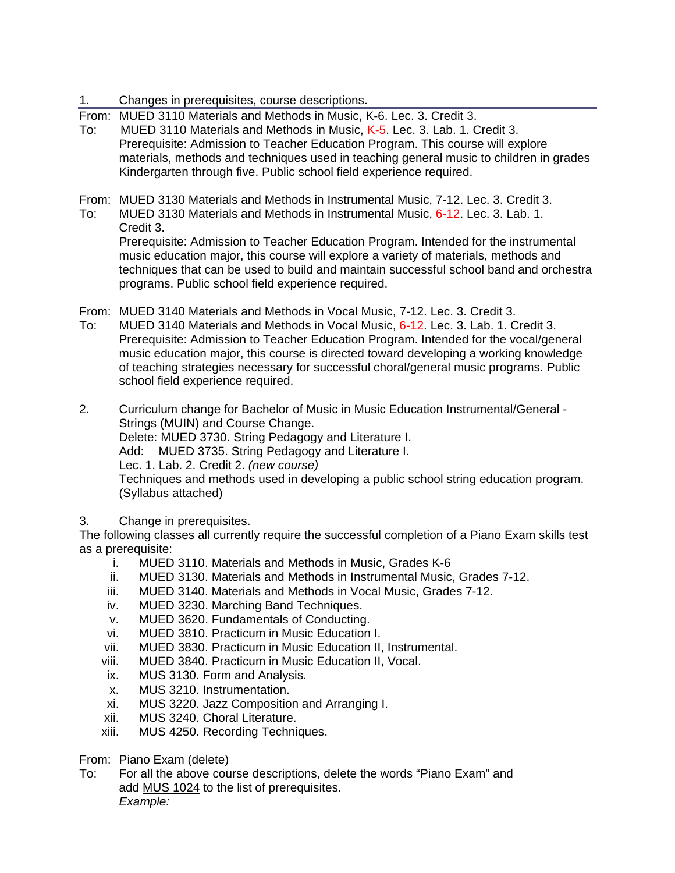- 1. Changes in prerequisites, course descriptions.
- From: MUED 3110 Materials and Methods in Music, K-6. Lec. 3. Credit 3.
- To: MUED 3110 Materials and Methods in Music, K-5. Lec. 3. Lab. 1. Credit 3. Prerequisite: Admission to Teacher Education Program. This course will explore materials, methods and techniques used in teaching general music to children in grades Kindergarten through five. Public school field experience required.

From: MUED 3130 Materials and Methods in Instrumental Music, 7-12. Lec. 3. Credit 3.

To: MUED 3130 Materials and Methods in Instrumental Music, 6-12. Lec. 3. Lab. 1. Credit 3.

Prerequisite: Admission to Teacher Education Program. Intended for the instrumental music education major, this course will explore a variety of materials, methods and techniques that can be used to build and maintain successful school band and orchestra programs. Public school field experience required.

- From: MUED 3140 Materials and Methods in Vocal Music, 7-12. Lec. 3. Credit 3.
- To: MUED 3140 Materials and Methods in Vocal Music, 6-12. Lec. 3. Lab. 1. Credit 3. Prerequisite: Admission to Teacher Education Program. Intended for the vocal/general music education major, this course is directed toward developing a working knowledge of teaching strategies necessary for successful choral/general music programs. Public school field experience required.

2. Curriculum change for Bachelor of Music in Music Education Instrumental/General - Strings (MUIN) and Course Change. Delete: MUED 3730. String Pedagogy and Literature I. Add: MUED 3735. String Pedagogy and Literature I. Lec. 1. Lab. 2. Credit 2. *(new course)* Techniques and methods used in developing a public school string education program. (Syllabus attached)

3. Change in prerequisites.

The following classes all currently require the successful completion of a Piano Exam skills test as a prerequisite:

- i. MUED 3110. Materials and Methods in Music, Grades K-6
- ii. MUED 3130. Materials and Methods in Instrumental Music, Grades 7-12.
- iii. MUED 3140. Materials and Methods in Vocal Music, Grades 7-12.
- iv. MUED 3230. Marching Band Techniques.
- v. MUED 3620. Fundamentals of Conducting.
- vi. MUED 3810. Practicum in Music Education I.
- vii. MUED 3830. Practicum in Music Education II, Instrumental.
- viii. MUED 3840. Practicum in Music Education II, Vocal.
- ix. MUS 3130. Form and Analysis.
- x. MUS 3210. Instrumentation.
- xi. MUS 3220. Jazz Composition and Arranging I.
- xii. MUS 3240. Choral Literature.
- xiii. MUS 4250. Recording Techniques.

From: Piano Exam (delete)

To: For all the above course descriptions, delete the words "Piano Exam" and add MUS 1024 to the list of prerequisites. *Example:*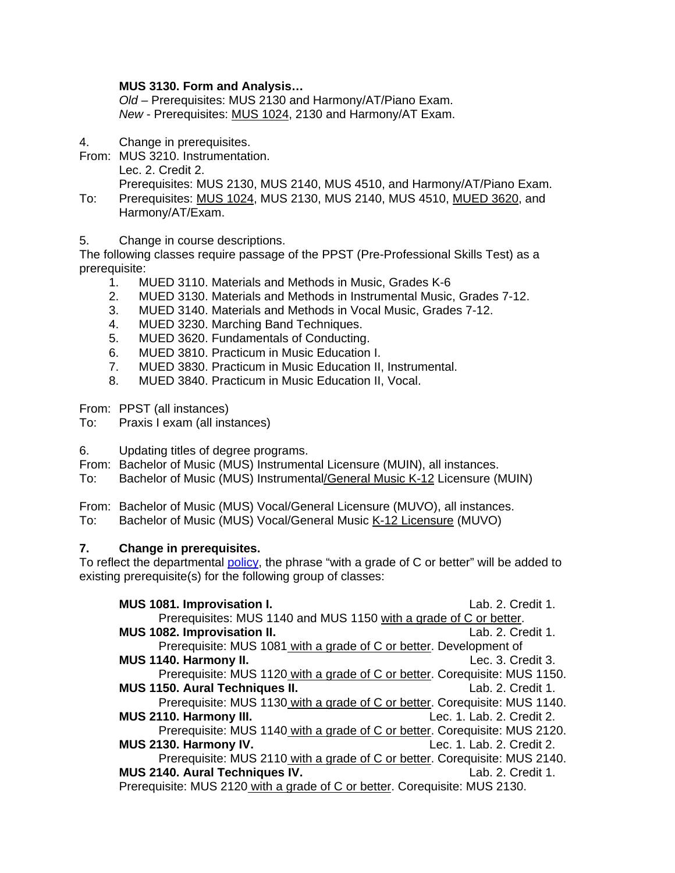# **MUS 3130. Form and Analysis…**

*Old –* Prerequisites: MUS 2130 and Harmony/AT/Piano Exam. *New* - Prerequisites: MUS 1024, 2130 and Harmony/AT Exam.

- 4. Change in prerequisites.
- From: MUS 3210. Instrumentation. Lec. 2. Credit 2.

Prerequisites: MUS 2130, MUS 2140, MUS 4510, and Harmony/AT/Piano Exam. To: Prerequisites: MUS 1024, MUS 2130, MUS 2140, MUS 4510, MUED 3620, and Harmony/AT/Exam.

5. Change in course descriptions.

The following classes require passage of the PPST (Pre-Professional Skills Test) as a prerequisite:

- 1. MUED 3110. Materials and Methods in Music, Grades K-6
- 2. MUED 3130. Materials and Methods in Instrumental Music, Grades 7-12.
- 3. MUED 3140. Materials and Methods in Vocal Music, Grades 7-12.
- 4. MUED 3230. Marching Band Techniques.
- 5. MUED 3620. Fundamentals of Conducting.
- 6. MUED 3810. Practicum in Music Education I.
- 7. MUED 3830. Practicum in Music Education II, Instrumental.
- 8. MUED 3840. Practicum in Music Education II, Vocal.

From: PPST (all instances)

To: Praxis I exam (all instances)

- 6. Updating titles of degree programs.
- From: Bachelor of Music (MUS) Instrumental Licensure (MUIN), all instances.
- To: Bachelor of Music (MUS) Instrumental/General Music K-12 Licensure (MUIN)

From: Bachelor of Music (MUS) Vocal/General Licensure (MUVO), all instances.

To: Bachelor of Music (MUS) Vocal/General Music K-12 Licensure (MUVO)

# **7. Change in prerequisites.**

To reflect the departmental policy, the phrase "with a grade of C or better" will be added to existing prerequisite(s) for the following group of classes:

| MUS 1081. Improvisation I.                                                 | Lab. 2. Credit 1.         |
|----------------------------------------------------------------------------|---------------------------|
| Prerequisites: MUS 1140 and MUS 1150 with a grade of C or better.          |                           |
| MUS 1082. Improvisation II.                                                | Lab. 2. Credit 1.         |
| Prerequisite: MUS 1081 with a grade of C or better. Development of         |                           |
| MUS 1140. Harmony II.                                                      | Lec. 3. Credit 3.         |
| Prerequisite: MUS 1120 with a grade of C or better. Corequisite: MUS 1150. |                           |
| <b>MUS 1150. Aural Techniques II.</b>                                      | Lab. 2. Credit 1.         |
| Prerequisite: MUS 1130 with a grade of C or better. Corequisite: MUS 1140. |                           |
| MUS 2110. Harmony III.                                                     | Lec. 1. Lab. 2. Credit 2. |
| Prerequisite: MUS 1140 with a grade of C or better. Corequisite: MUS 2120. |                           |
| MUS 2130. Harmony IV.                                                      | Lec. 1. Lab. 2. Credit 2. |
| Prerequisite: MUS 2110 with a grade of C or better. Corequisite: MUS 2140. |                           |
| <b>MUS 2140. Aural Techniques IV.</b>                                      | Lab. 2. Credit 1.         |
| Prerequisite: MUS 2120 with a grade of C or better. Corequisite: MUS 2130. |                           |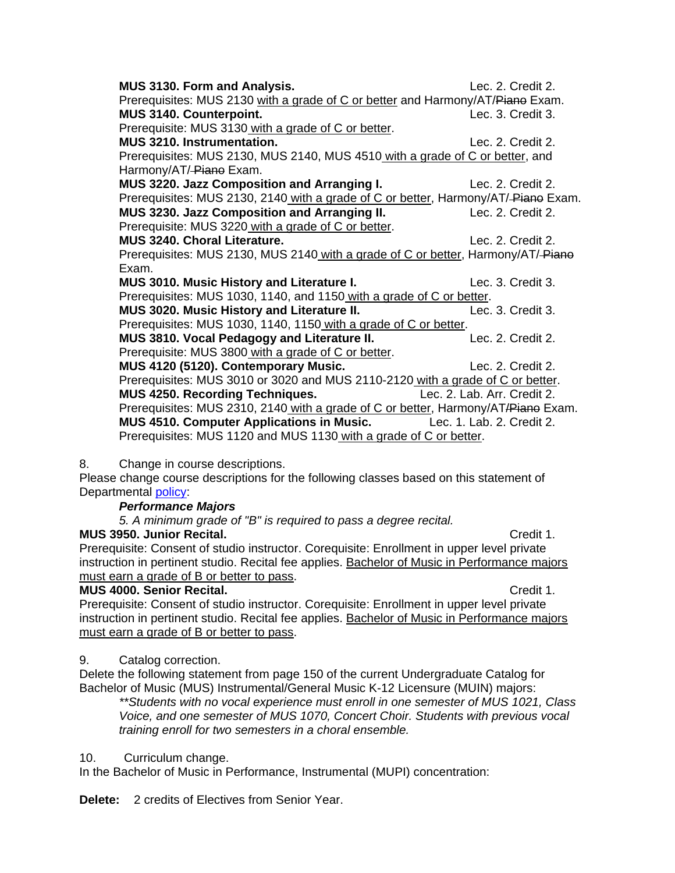| <b>MUS 3130. Form and Analysis.</b>                                                | Lec. 2. Credit 2.           |
|------------------------------------------------------------------------------------|-----------------------------|
| Prerequisites: MUS 2130 with a grade of C or better and Harmony/AT/Piano Exam.     |                             |
| MUS 3140. Counterpoint.                                                            | Lec. 3. Credit 3.           |
| Prerequisite: MUS 3130 with a grade of C or better.                                |                             |
| <b>MUS 3210. Instrumentation.</b>                                                  | Lec. 2. Credit 2.           |
| Prerequisites: MUS 2130, MUS 2140, MUS 4510 with a grade of C or better, and       |                             |
| Harmony/AT/-Piano Exam.                                                            |                             |
| MUS 3220. Jazz Composition and Arranging I.                                        | Lec. 2. Credit 2.           |
| Prerequisites: MUS 2130, 2140 with a grade of C or better, Harmony/AT/-Piane Exam. |                             |
| MUS 3230. Jazz Composition and Arranging II.                                       | Lec. 2. Credit 2.           |
| Prerequisite: MUS 3220 with a grade of C or better.                                |                             |
| MUS 3240. Choral Literature.                                                       | Lec. 2. Credit 2.           |
| Prerequisites: MUS 2130, MUS 2140 with a grade of C or better, Harmony/AT/-Piano   |                             |
| Exam.                                                                              |                             |
| <b>MUS 3010. Music History and Literature I.</b>                                   | Lec. 3. Credit 3.           |
| Prerequisites: MUS 1030, 1140, and 1150 with a grade of C or better.               |                             |
| MUS 3020. Music History and Literature II.                                         | Lec. 3. Credit 3.           |
| Prerequisites: MUS 1030, 1140, 1150 with a grade of C or better.                   |                             |
| MUS 3810. Vocal Pedagogy and Literature II.                                        | Lec. 2. Credit 2.           |
| Prerequisite: MUS 3800 with a grade of C or better.                                |                             |
| MUS 4120 (5120). Contemporary Music.                                               | Lec. 2. Credit 2.           |
| Prerequisites: MUS 3010 or 3020 and MUS 2110-2120 with a grade of C or better.     |                             |
| <b>MUS 4250. Recording Techniques.</b>                                             | Lec. 2. Lab. Arr. Credit 2. |
| Prerequisites: MUS 2310, 2140 with a grade of C or better, Harmony/AT/Piane Exam.  |                             |
| <b>MUS 4510. Computer Applications in Music.</b> Lec. 1. Lab. 2. Credit 2.         |                             |
| Prerequisites: MUS 1120 and MUS 1130 with a grade of C or better.                  |                             |

# 8. Change in course descriptions.

Please change course descriptions for the following classes based on this statement of Departmental policy:

# *Performance Majors*

*5. A minimum grade of "B" is required to pass a degree recital.* 

# **MUS 3950. Junior Recital. Consumersity Credit 1. Credit 1.**

Prerequisite: Consent of studio instructor. Corequisite: Enrollment in upper level private instruction in pertinent studio. Recital fee applies. Bachelor of Music in Performance majors must earn a grade of B or better to pass.

# **MUS 4000. Senior Recital. CLASS 2008 120 AUS 4000. Senior Recital. Credit 1.**

Prerequisite: Consent of studio instructor. Corequisite: Enrollment in upper level private instruction in pertinent studio. Recital fee applies. Bachelor of Music in Performance majors must earn a grade of B or better to pass.

# 9. Catalog correction.

Delete the following statement from page 150 of the current Undergraduate Catalog for Bachelor of Music (MUS) Instrumental/General Music K-12 Licensure (MUIN) majors:

*\*\*Students with no vocal experience must enroll in one semester of MUS 1021, Class Voice, and one semester of MUS 1070, Concert Choir. Students with previous vocal training enroll for two semesters in a choral ensemble.*

10. Curriculum change.

In the Bachelor of Music in Performance, Instrumental (MUPI) concentration:

**Delete:** 2 credits of Electives from Senior Year.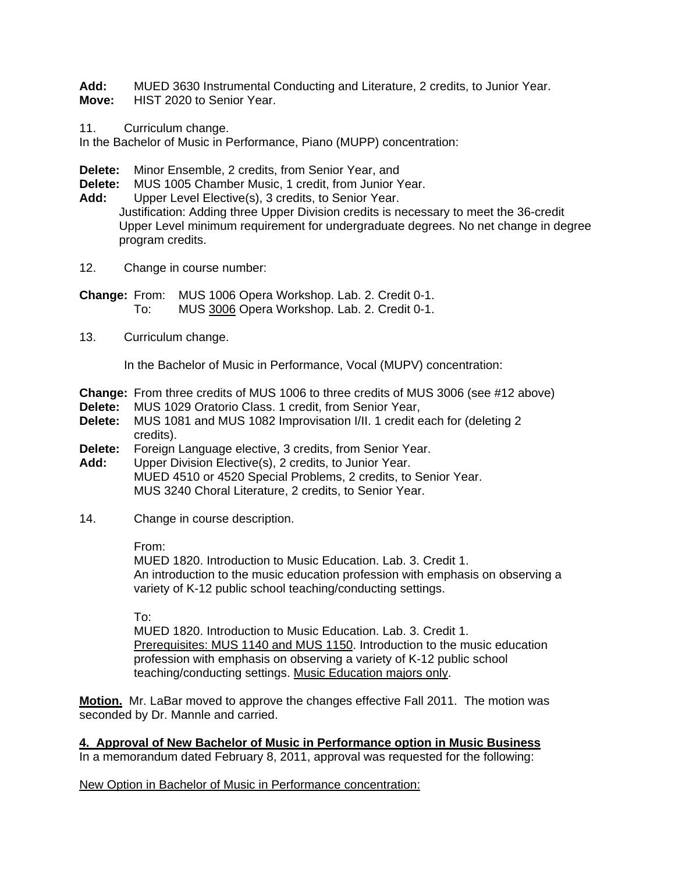**Add:** MUED 3630 Instrumental Conducting and Literature, 2 credits, to Junior Year. **Move:** HIST 2020 to Senior Year.

11. Curriculum change.

In the Bachelor of Music in Performance, Piano (MUPP) concentration:

**Delete:** Minor Ensemble, 2 credits, from Senior Year, and

**Delete:** MUS 1005 Chamber Music, 1 credit, from Junior Year.

**Add:** Upper Level Elective(s), 3 credits, to Senior Year.

Justification: Adding three Upper Division credits is necessary to meet the 36-credit Upper Level minimum requirement for undergraduate degrees. No net change in degree program credits.

12. Change in course number:

**Change:** From: MUS 1006 Opera Workshop. Lab. 2. Credit 0-1. To: MUS 3006 Opera Workshop. Lab. 2. Credit 0-1.

13. Curriculum change.

In the Bachelor of Music in Performance, Vocal (MUPV) concentration:

- **Change:** From three credits of MUS 1006 to three credits of MUS 3006 (see #12 above)
- **Delete:** MUS 1029 Oratorio Class. 1 credit, from Senior Year,<br>**Delete:** MUS 1081 and MUS 1082 Improvisation I/II. 1 credit e
- **Delete:** MUS 1081 and MUS 1082 Improvisation I/II. 1 credit each for (deleting 2 credits).
- **Delete:** Foreign Language elective, 3 credits, from Senior Year.
- **Add:** Upper Division Elective(s), 2 credits, to Junior Year. MUED 4510 or 4520 Special Problems, 2 credits, to Senior Year. MUS 3240 Choral Literature, 2 credits, to Senior Year.
- 14. Change in course description.

From:

MUED 1820. Introduction to Music Education. Lab. 3. Credit 1. An introduction to the music education profession with emphasis on observing a variety of K-12 public school teaching/conducting settings.

To:

MUED 1820. Introduction to Music Education. Lab. 3. Credit 1. Prerequisites: MUS 1140 and MUS 1150. Introduction to the music education profession with emphasis on observing a variety of K-12 public school teaching/conducting settings. Music Education majors only.

**Motion.** Mr. LaBar moved to approve the changes effective Fall 2011. The motion was seconded by Dr. Mannle and carried.

**4. Approval of New Bachelor of Music in Performance option in Music Business** In a memorandum dated February 8, 2011, approval was requested for the following:

New Option in Bachelor of Music in Performance concentration: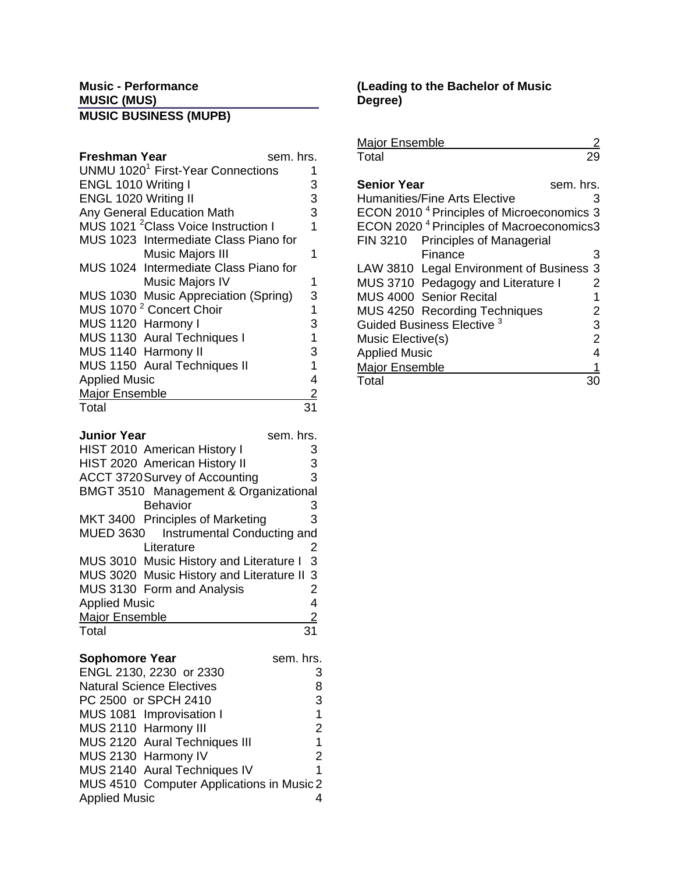# **Music - Performance MUSIC (MUS) MUSIC BUSINESS (MUPB)**

| sem. hrs.<br>Freshman Year                      |   |
|-------------------------------------------------|---|
| UNMU 1020 <sup>1</sup> First-Year Connections   |   |
| ENGL 1010 Writing I                             | 3 |
| ENGL 1020 Writing II                            | 3 |
| Any General Education Math                      | 3 |
| MUS 1021 <sup>2</sup> Class Voice Instruction I | 1 |
| MUS 1023 Intermediate Class Piano for           |   |
| <b>Music Majors III</b>                         |   |
| MUS 1024 Intermediate Class Piano for           |   |
| Music Majors IV                                 |   |
| MUS 1030 Music Appreciation (Spring)            | 3 |
| MUS 1070 <sup>2</sup> Concert Choir             | 1 |
| MUS 1120 Harmony I                              | 3 |
| MUS 1130 Aural Techniques I                     | 1 |
| MUS 1140 Harmony II                             | 3 |
| MUS 1150 Aural Techniques II                    | 1 |
| <b>Applied Music</b>                            | 4 |
| <b>Major Ensemble</b>                           |   |
| Total                                           |   |

| <b>Junior Year</b><br>sem. hrs.          |   |
|------------------------------------------|---|
| <b>HIST 2010 American History I</b>      | З |
| HIST 2020 American History II            | 3 |
| ACCT 3720 Survey of Accounting           | 3 |
| BMGT 3510 Management & Organizational    |   |
| <b>Behavior</b>                          | З |
| MKT 3400 Principles of Marketing         | 3 |
| MUED 3630 Instrumental Conducting and    |   |
| Literature                               | 2 |
| MUS 3010 Music History and Literature I  | 3 |
| MUS 3020 Music History and Literature II | 3 |
| MUS 3130 Form and Analysis               | 2 |
| <b>Applied Music</b>                     | 4 |
| <b>Major Ensemble</b>                    | 2 |
| Total                                    |   |

| <b>Sophomore Year</b>                     | sem. hrs.     |
|-------------------------------------------|---------------|
| ENGL 2130, 2230 or 2330                   | 3             |
| <b>Natural Science Electives</b>          | 8             |
| PC 2500 or SPCH 2410                      | 3             |
| MUS 1081 Improvisation I                  | 1             |
| MUS 2110 Harmony III                      | 2             |
| MUS 2120 Aural Techniques III             | 1             |
| MUS 2130 Harmony IV                       | $\mathcal{P}$ |
| MUS 2140 Aural Techniques IV              | 1             |
| MUS 4510 Computer Applications in Music 2 |               |
| <b>Applied Music</b>                      |               |

# **(Leading to the Bachelor of Music Degree)**

| <b>Major Ensemble</b>                                 |           |
|-------------------------------------------------------|-----------|
| Total                                                 |           |
|                                                       |           |
| <b>Senior Year</b>                                    | sem. hrs. |
| Humanities/Fine Arts Elective                         | 3         |
| ECON 2010 <sup>4</sup> Principles of Microeconomics 3 |           |
| ECON 2020 <sup>4</sup> Principles of Macroeconomics3  |           |
| FIN 3210 Principles of Managerial                     |           |
| Finance                                               | 3         |
| LAW 3810 Legal Environment of Business                | 3         |
| MUS 3710 Pedagogy and Literature I                    | 2         |
| MUS 4000 Senior Recital                               | 1         |
| <b>MUS 4250 Recording Techniques</b>                  | 2         |
| Guided Business Elective <sup>3</sup>                 | 3         |
| Music Elective(s)                                     | 2         |
| <b>Applied Music</b>                                  | 4         |
| <b>Major Ensemble</b>                                 |           |
| Total                                                 |           |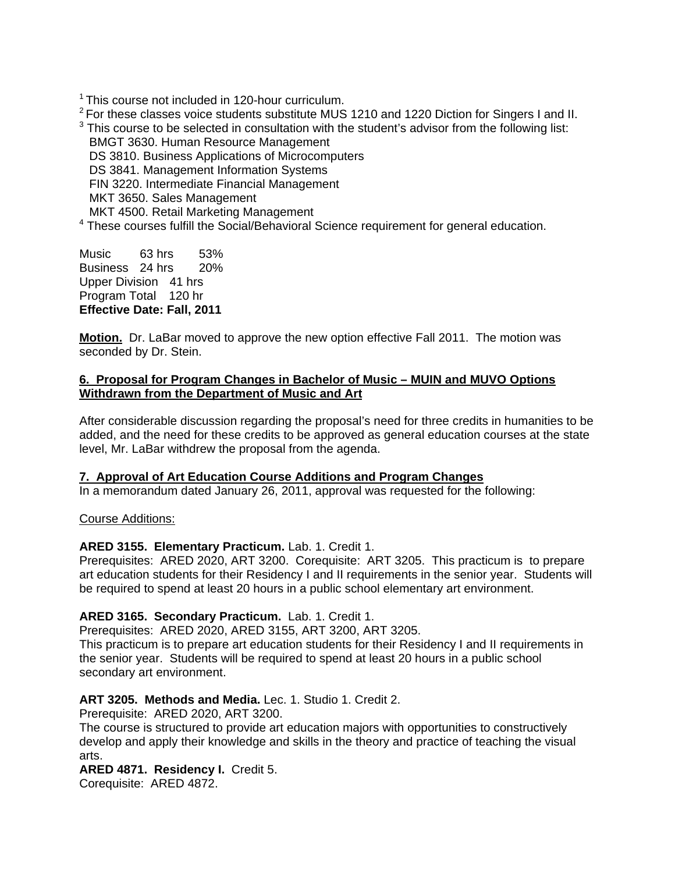$1$  This course not included in 120-hour curriculum.

 $2$  For these classes voice students substitute MUS 1210 and 1220 Diction for Singers I and II.

 $3$  This course to be selected in consultation with the student's advisor from the following list: BMGT 3630. Human Resource Management

DS 3810. Business Applications of Microcomputers

DS 3841. Management Information Systems

FIN 3220. Intermediate Financial Management

MKT 3650. Sales Management

MKT 4500. Retail Marketing Management

<sup>4</sup> These courses fulfill the Social/Behavioral Science requirement for general education.

Music 63 hrs 53% Business 24 hrs 20% Upper Division 41 hrs Program Total 120 hr **Effective Date: Fall, 2011**

**Motion.** Dr. LaBar moved to approve the new option effective Fall 2011. The motion was seconded by Dr. Stein.

# **6. Proposal for Program Changes in Bachelor of Music – MUIN and MUVO Options Withdrawn from the Department of Music and Art**

After considerable discussion regarding the proposal's need for three credits in humanities to be added, and the need for these credits to be approved as general education courses at the state level, Mr. LaBar withdrew the proposal from the agenda.

# **7. Approval of Art Education Course Additions and Program Changes**

In a memorandum dated January 26, 2011, approval was requested for the following:

# Course Additions:

# **ARED 3155. Elementary Practicum.** Lab. 1. Credit 1.

Prerequisites: ARED 2020, ART 3200. Corequisite: ART 3205. This practicum is to prepare art education students for their Residency I and II requirements in the senior year. Students will be required to spend at least 20 hours in a public school elementary art environment.

# **ARED 3165. Secondary Practicum.** Lab. 1. Credit 1.

Prerequisites: ARED 2020, ARED 3155, ART 3200, ART 3205.

This practicum is to prepare art education students for their Residency I and II requirements in the senior year. Students will be required to spend at least 20 hours in a public school secondary art environment.

# **ART 3205. Methods and Media.** Lec. 1. Studio 1. Credit 2.

Prerequisite: ARED 2020, ART 3200.

The course is structured to provide art education majors with opportunities to constructively develop and apply their knowledge and skills in the theory and practice of teaching the visual arts.

# **ARED 4871. Residency I.** Credit 5.

Corequisite: ARED 4872.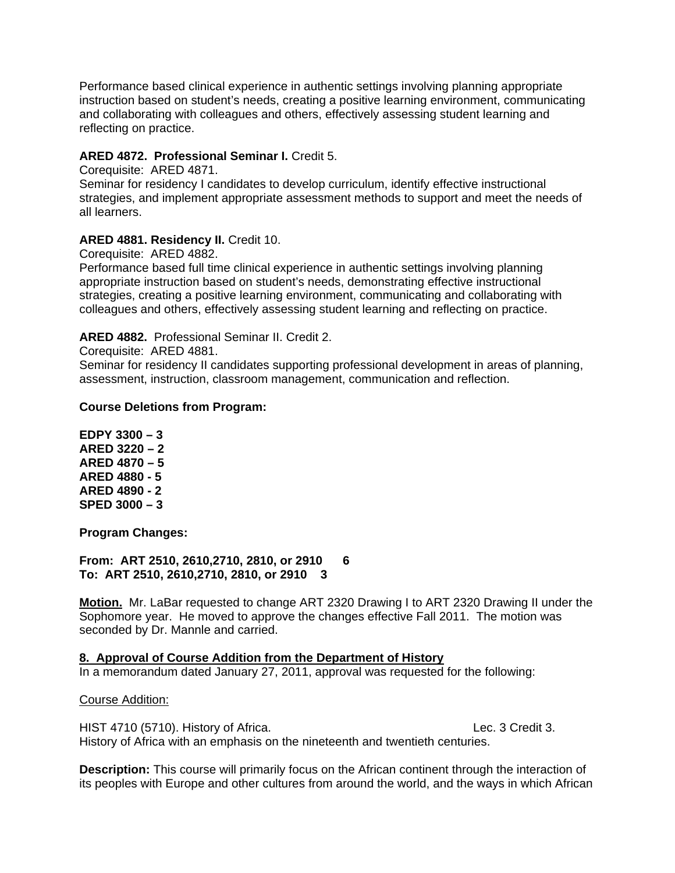Performance based clinical experience in authentic settings involving planning appropriate instruction based on student's needs, creating a positive learning environment, communicating and collaborating with colleagues and others, effectively assessing student learning and reflecting on practice.

# **ARED 4872. Professional Seminar I.** Credit 5.

Corequisite: ARED 4871. Seminar for residency I candidates to develop curriculum, identify effective instructional strategies, and implement appropriate assessment methods to support and meet the needs of all learners.

# **ARED 4881. Residency II.** Credit 10.

Corequisite: ARED 4882.

Performance based full time clinical experience in authentic settings involving planning appropriate instruction based on student's needs, demonstrating effective instructional strategies, creating a positive learning environment, communicating and collaborating with colleagues and others, effectively assessing student learning and reflecting on practice.

## **ARED 4882.** Professional Seminar II. Credit 2.

Corequisite: ARED 4881.

Seminar for residency II candidates supporting professional development in areas of planning, assessment, instruction, classroom management, communication and reflection.

#### **Course Deletions from Program:**

**EDPY 3300 – 3 ARED 3220 – 2 ARED 4870 – 5 ARED 4880 - 5 ARED 4890 - 2 SPED 3000 – 3** 

**Program Changes:** 

**From: ART 2510, 2610,2710, 2810, or 2910 6 To: ART 2510, 2610,2710, 2810, or 2910 3** 

**Motion.** Mr. LaBar requested to change ART 2320 Drawing I to ART 2320 Drawing II under the Sophomore year. He moved to approve the changes effective Fall 2011. The motion was seconded by Dr. Mannle and carried.

# **8. Approval of Course Addition from the Department of History**

In a memorandum dated January 27, 2011, approval was requested for the following:

#### Course Addition:

HIST 4710 (5710). History of Africa. Change of the Lec. 3 Credit 3. History of Africa with an emphasis on the nineteenth and twentieth centuries.

**Description:** This course will primarily focus on the African continent through the interaction of its peoples with Europe and other cultures from around the world, and the ways in which African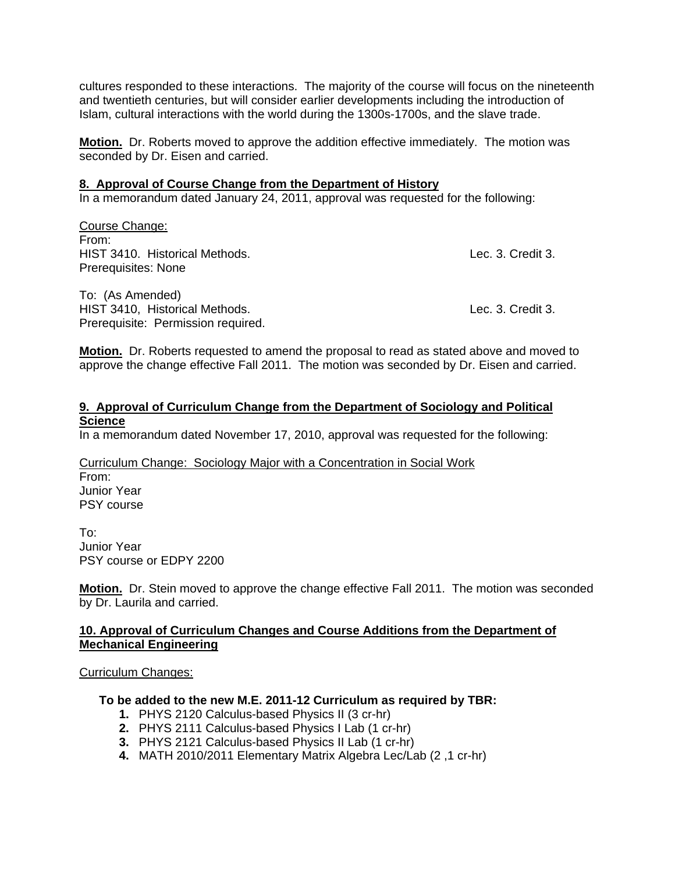cultures responded to these interactions. The majority of the course will focus on the nineteenth and twentieth centuries, but will consider earlier developments including the introduction of Islam, cultural interactions with the world during the 1300s-1700s, and the slave trade.

**Motion.** Dr. Roberts moved to approve the addition effective immediately. The motion was seconded by Dr. Eisen and carried.

#### **8. Approval of Course Change from the Department of History**

In a memorandum dated January 24, 2011, approval was requested for the following:

Course Change: From: HIST 3410. Historical Methods. Lec. 3. Credit 3. Prerequisites: None

To: (As Amended) HIST 3410, Historical Methods. Lec. 3. Credit 3. Prerequisite: Permission required.

**Motion.** Dr. Roberts requested to amend the proposal to read as stated above and moved to approve the change effective Fall 2011. The motion was seconded by Dr. Eisen and carried.

### **9. Approval of Curriculum Change from the Department of Sociology and Political Science**

In a memorandum dated November 17, 2010, approval was requested for the following:

Curriculum Change: Sociology Major with a Concentration in Social Work From: Junior Year PSY course

To: Junior Year PSY course or EDPY 2200

**Motion.** Dr. Stein moved to approve the change effective Fall 2011. The motion was seconded by Dr. Laurila and carried.

## **10. Approval of Curriculum Changes and Course Additions from the Department of Mechanical Engineering**

#### Curriculum Changes:

#### **To be added to the new M.E. 2011-12 Curriculum as required by TBR:**

- **1.** PHYS 2120 Calculus-based Physics II (3 cr-hr)
- **2.** PHYS 2111 Calculus-based Physics I Lab (1 cr-hr)
- **3.** PHYS 2121 Calculus-based Physics II Lab (1 cr-hr)
- **4.** MATH 2010/2011 Elementary Matrix Algebra Lec/Lab (2 ,1 cr-hr)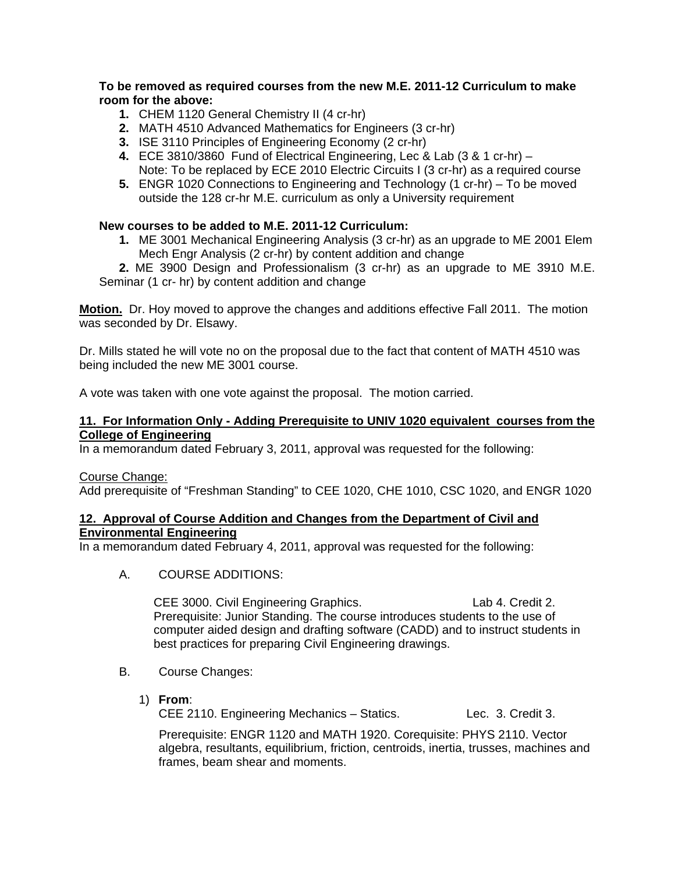# **To be removed as required courses from the new M.E. 2011-12 Curriculum to make room for the above:**

- **1.** CHEM 1120 General Chemistry II (4 cr-hr)
- **2.** MATH 4510 Advanced Mathematics for Engineers (3 cr-hr)
- **3.** ISE 3110 Principles of Engineering Economy (2 cr-hr)
- **4.** ECE 3810/3860 Fund of Electrical Engineering, Lec & Lab (3 & 1 cr-hr) Note: To be replaced by ECE 2010 Electric Circuits I (3 cr-hr) as a required course
- **5.** ENGR 1020 Connections to Engineering and Technology (1 cr-hr) To be moved outside the 128 cr-hr M.E. curriculum as only a University requirement

# **New courses to be added to M.E. 2011-12 Curriculum:**

**1.** ME 3001 Mechanical Engineering Analysis (3 cr-hr) as an upgrade to ME 2001 Elem Mech Engr Analysis (2 cr-hr) by content addition and change

**2.** ME 3900 Design and Professionalism (3 cr-hr) as an upgrade to ME 3910 M.E. Seminar (1 cr- hr) by content addition and change

**Motion.** Dr. Hoy moved to approve the changes and additions effective Fall 2011. The motion was seconded by Dr. Elsawy.

Dr. Mills stated he will vote no on the proposal due to the fact that content of MATH 4510 was being included the new ME 3001 course.

A vote was taken with one vote against the proposal. The motion carried.

#### **11. For Information Only - Adding Prerequisite to UNIV 1020 equivalent courses from the College of Engineering**

In a memorandum dated February 3, 2011, approval was requested for the following:

#### Course Change:

Add prerequisite of "Freshman Standing" to CEE 1020, CHE 1010, CSC 1020, and ENGR 1020

# **12. Approval of Course Addition and Changes from the Department of Civil and Environmental Engineering**

In a memorandum dated February 4, 2011, approval was requested for the following:

A. COURSE ADDITIONS:

CEE 3000. Civil Engineering Graphics. Lab 4. Credit 2. Prerequisite: Junior Standing. The course introduces students to the use of computer aided design and drafting software (CADD) and to instruct students in best practices for preparing Civil Engineering drawings.

- B. Course Changes:
	- 1) **From**:

CEE 2110. Engineering Mechanics – Statics. Lec. 3. Credit 3.

Prerequisite: ENGR 1120 and MATH 1920. Corequisite: PHYS 2110. Vector algebra, resultants, equilibrium, friction, centroids, inertia, trusses, machines and frames, beam shear and moments.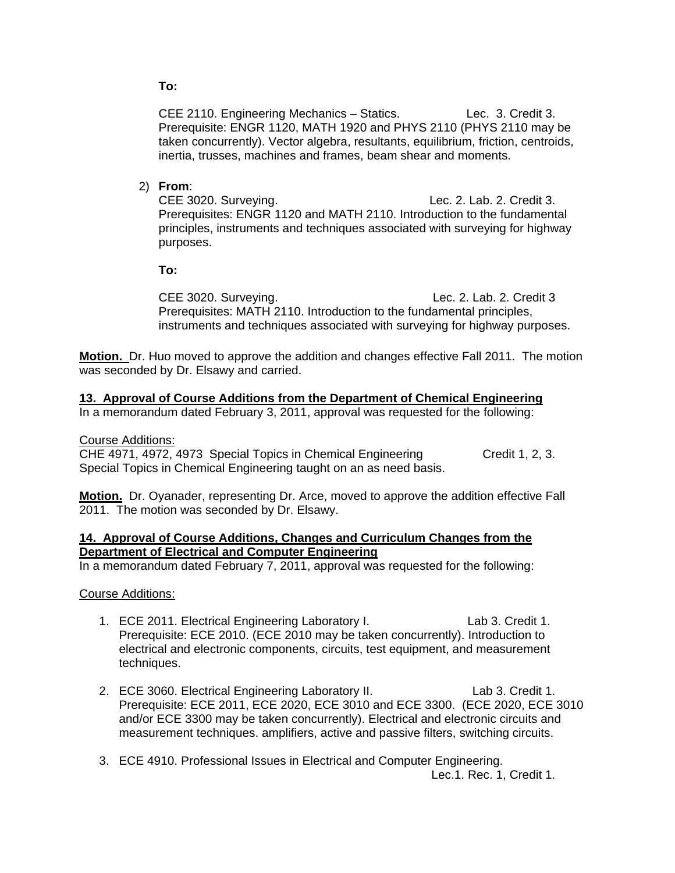# **To:**

CEE 2110. Engineering Mechanics – Statics. Lec. 3. Credit 3. Prerequisite: ENGR 1120, MATH 1920 and PHYS 2110 (PHYS 2110 may be taken concurrently). Vector algebra, resultants, equilibrium, friction, centroids, inertia, trusses, machines and frames, beam shear and moments.

# 2) **From**:

CEE 3020. Surveying. Lec. 2. Lab. 2. Credit 3. Prerequisites: ENGR 1120 and MATH 2110. Introduction to the fundamental principles, instruments and techniques associated with surveying for highway purposes.

 **To:** 

CEE 3020. Surveying. Lec. 2. Lab. 2. Credit 3 Prerequisites: MATH 2110. Introduction to the fundamental principles, instruments and techniques associated with surveying for highway purposes.

**Motion.** Dr. Huo moved to approve the addition and changes effective Fall 2011. The motion was seconded by Dr. Elsawy and carried.

## **13. Approval of Course Additions from the Department of Chemical Engineering**

In a memorandum dated February 3, 2011, approval was requested for the following:

Course Additions:

CHE 4971, 4972, 4973 Special Topics in Chemical Engineering Credit 1, 2, 3. Special Topics in Chemical Engineering taught on an as need basis.

**Motion.** Dr. Oyanader, representing Dr. Arce, moved to approve the addition effective Fall 2011. The motion was seconded by Dr. Elsawy.

#### **14. Approval of Course Additions, Changes and Curriculum Changes from the Department of Electrical and Computer Engineering**

In a memorandum dated February 7, 2011, approval was requested for the following:

Course Additions:

- 1. ECE 2011. Electrical Engineering Laboratory I. Lab 3. Credit 1. Prerequisite: ECE 2010. (ECE 2010 may be taken concurrently). Introduction to electrical and electronic components, circuits, test equipment, and measurement techniques.
- 2. ECE 3060. Electrical Engineering Laboratory II. Lab 3. Credit 1. Prerequisite: ECE 2011, ECE 2020, ECE 3010 and ECE 3300. (ECE 2020, ECE 3010 and/or ECE 3300 may be taken concurrently). Electrical and electronic circuits and measurement techniques. amplifiers, active and passive filters, switching circuits.
- 3. ECE 4910. Professional Issues in Electrical and Computer Engineering. Lec.1. Rec. 1, Credit 1.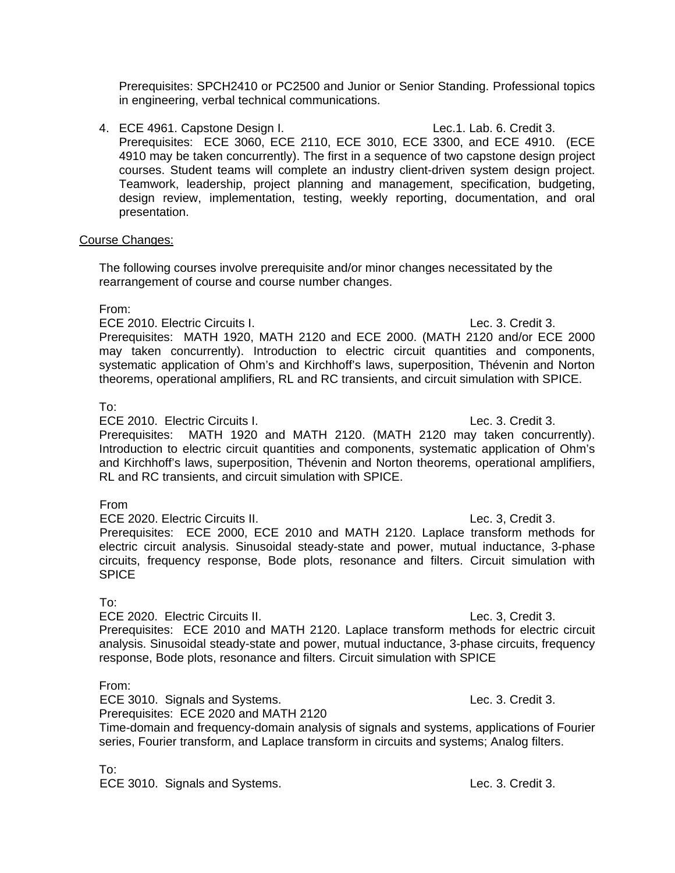Prerequisites: SPCH2410 or PC2500 and Junior or Senior Standing. Professional topics in engineering, verbal technical communications.

4. ECE 4961. Capstone Design I. Lec.1. Lab. 6. Credit 3. Prerequisites: ECE 3060, ECE 2110, ECE 3010, ECE 3300, and ECE 4910. (ECE 4910 may be taken concurrently). The first in a sequence of two capstone design project courses. Student teams will complete an industry client-driven system design project. Teamwork, leadership, project planning and management, specification, budgeting, design review, implementation, testing, weekly reporting, documentation, and oral presentation.

#### Course Changes:

The following courses involve prerequisite and/or minor changes necessitated by the rearrangement of course and course number changes.

## From:

ECE 2010. Electric Circuits I. Lec. 3. Credit 3.

 Prerequisites: MATH 1920, MATH 2120 and ECE 2000. (MATH 2120 and/or ECE 2000 may taken concurrently). Introduction to electric circuit quantities and components, systematic application of Ohm's and Kirchhoff's laws, superposition, Thévenin and Norton theorems, operational amplifiers, RL and RC transients, and circuit simulation with SPICE.

## To:

ECE 2010. Electric Circuits I. Lec. 3. Credit 3.

 Prerequisites: MATH 1920 and MATH 2120. (MATH 2120 may taken concurrently). Introduction to electric circuit quantities and components, systematic application of Ohm's and Kirchhoff's laws, superposition, Thévenin and Norton theorems, operational amplifiers, RL and RC transients, and circuit simulation with SPICE.

#### From

 ECE 2020. Electric Circuits II. Lec. 3, Credit 3. Prerequisites: ECE 2000, ECE 2010 and MATH 2120. Laplace transform methods for electric circuit analysis. Sinusoidal steady-state and power, mutual inductance, 3-phase circuits, frequency response, Bode plots, resonance and filters. Circuit simulation with **SPICE** 

# To:

ECE 2020. Electric Circuits II. Lec. 3, Credit 3. Prerequisites: ECE 2010 and MATH 2120. Laplace transform methods for electric circuit analysis. Sinusoidal steady-state and power, mutual inductance, 3-phase circuits, frequency response, Bode plots, resonance and filters. Circuit simulation with SPICE

# From:

 ECE 3010. Signals and Systems. Lec. 3. Credit 3. Prerequisites: ECE 2020 and MATH 2120 Time-domain and frequency-domain analysis of signals and systems, applications of Fourier series, Fourier transform, and Laplace transform in circuits and systems; Analog filters.

To:

ECE 3010. Signals and Systems. Lec. 3. Credit 3.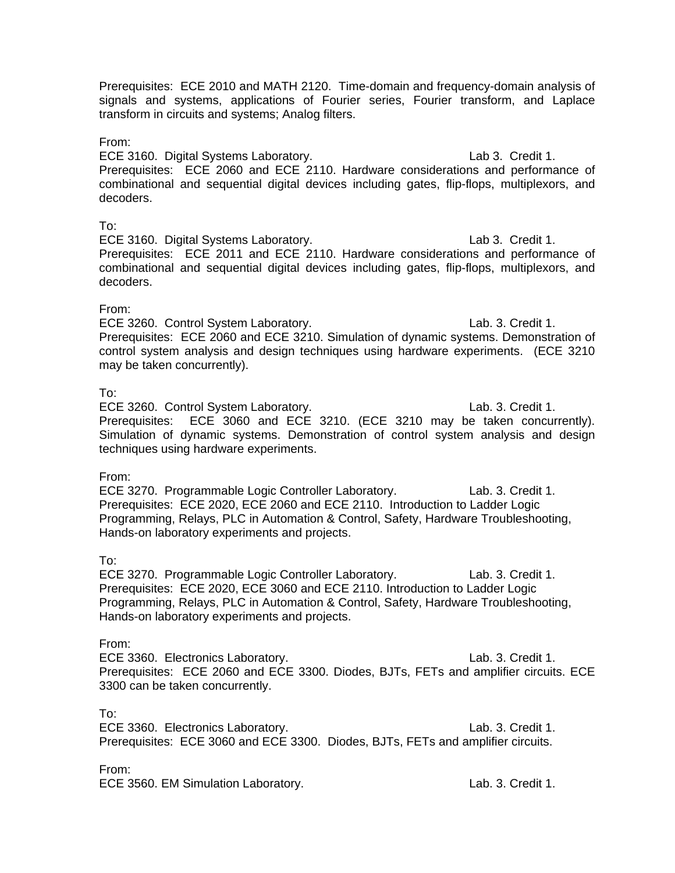Prerequisites: ECE 2010 and MATH 2120. Time-domain and frequency-domain analysis of signals and systems, applications of Fourier series, Fourier transform, and Laplace transform in circuits and systems; Analog filters.

### From:

ECE 3160. Digital Systems Laboratory. Lab 3. Credit 1. Prerequisites: ECE 2060 and ECE 2110. Hardware considerations and performance of combinational and sequential digital devices including gates, flip-flops, multiplexors, and decoders.

## To:

ECE 3160. Digital Systems Laboratory. Lab 3. Credit 1. Prerequisites: ECE 2011 and ECE 2110. Hardware considerations and performance of combinational and sequential digital devices including gates, flip-flops, multiplexors, and decoders.

# From:

ECE 3260. Control System Laboratory. Lab. 3. Credit 1. Prerequisites: ECE 2060 and ECE 3210. Simulation of dynamic systems. Demonstration of control system analysis and design techniques using hardware experiments. (ECE 3210 may be taken concurrently).

# To:

ECE 3260. Control System Laboratory. Lab. 3. Credit 1. Prerequisites: ECE 3060 and ECE 3210. (ECE 3210 may be taken concurrently). Simulation of dynamic systems. Demonstration of control system analysis and design techniques using hardware experiments.

# From:

ECE 3270. Programmable Logic Controller Laboratory. Lab. 3. Credit 1. Prerequisites: ECE 2020, ECE 2060 and ECE 2110. Introduction to Ladder Logic Programming, Relays, PLC in Automation & Control, Safety, Hardware Troubleshooting, Hands-on laboratory experiments and projects.

# To:

ECE 3270. Programmable Logic Controller Laboratory. Lab. 3. Credit 1. Prerequisites: ECE 2020, ECE 3060 and ECE 2110. Introduction to Ladder Logic Programming, Relays, PLC in Automation & Control, Safety, Hardware Troubleshooting, Hands-on laboratory experiments and projects.

# From:

ECE 3360. Electronics Laboratory. Lab. 3. Credit 1. Prerequisites: ECE 2060 and ECE 3300. Diodes, BJTs, FETs and amplifier circuits. ECE 3300 can be taken concurrently.

To:

ECE 3360. Electronics Laboratory. Lab. 3. Credit 1. Prerequisites: ECE 3060 and ECE 3300. Diodes, BJTs, FETs and amplifier circuits.

From:

ECE 3560. EM Simulation Laboratory. Lab. 3. Credit 1.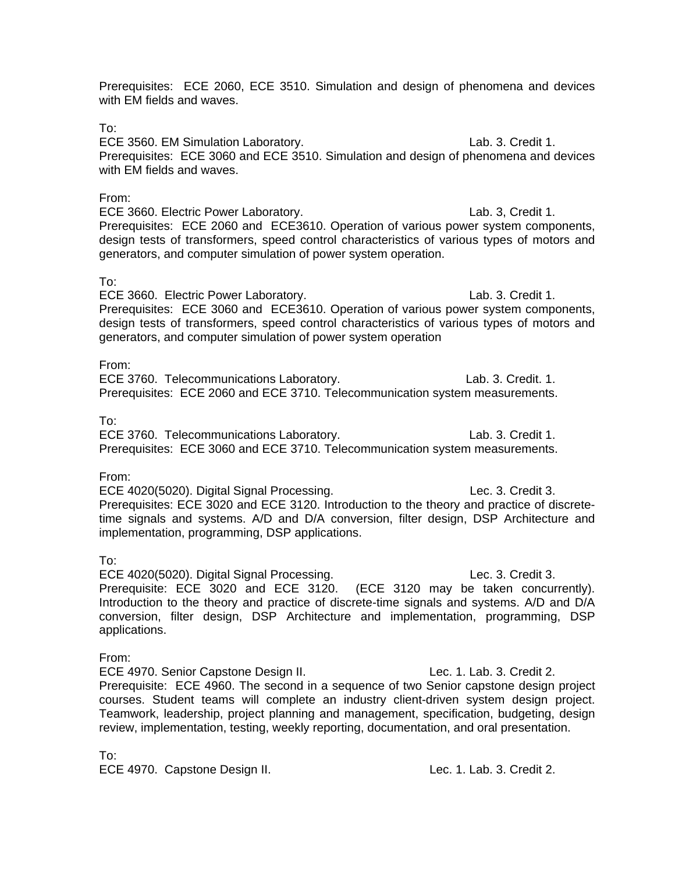Prerequisites: ECE 2060, ECE 3510. Simulation and design of phenomena and devices with EM fields and waves.

To:

ECE 3560. EM Simulation Laboratory. Lab. 3. Credit 1. Prerequisites: ECE 3060 and ECE 3510. Simulation and design of phenomena and devices with EM fields and waves.

# From:

ECE 3660. Electric Power Laboratory. Lab. 3, Credit 1. Prerequisites: ECE 2060 and ECE3610. Operation of various power system components, design tests of transformers, speed control characteristics of various types of motors and generators, and computer simulation of power system operation.

## To:

ECE 3660. Electric Power Laboratory. The state of the second lab. 3. Credit 1. Prerequisites: ECE 3060 and ECE3610. Operation of various power system components, design tests of transformers, speed control characteristics of various types of motors and generators, and computer simulation of power system operation

# From:

ECE 3760. Telecommunications Laboratory. Lab. 3. Credit. 1. Prerequisites: ECE 2060 and ECE 3710. Telecommunication system measurements.

## To:

ECE 3760. Telecommunications Laboratory. Lab. 3. Credit 1. Prerequisites: ECE 3060 and ECE 3710. Telecommunication system measurements.

#### From:

 ECE 4020(5020). Digital Signal Processing. Lec. 3. Credit 3. Prerequisites: ECE 3020 and ECE 3120. Introduction to the theory and practice of discretetime signals and systems. A/D and D/A conversion, filter design, DSP Architecture and implementation, programming, DSP applications.

#### To:

ECE 4020(5020). Digital Signal Processing. Lec. 3. Credit 3. Prerequisite: ECE 3020 and ECE 3120. (ECE 3120 may be taken concurrently). Introduction to the theory and practice of discrete-time signals and systems. A/D and D/A conversion, filter design, DSP Architecture and implementation, programming, DSP applications.

From:

ECE 4970. Senior Capstone Design II. Capstone Rec. 1. Lab. 3. Credit 2. Prerequisite: ECE 4960. The second in a sequence of two Senior capstone design project courses. Student teams will complete an industry client-driven system design project. Teamwork, leadership, project planning and management, specification, budgeting, design review, implementation, testing, weekly reporting, documentation, and oral presentation.

To:

ECE 4970. Capstone Design II. Can be a series of the case of the Lec. 1. Lab. 3. Credit 2.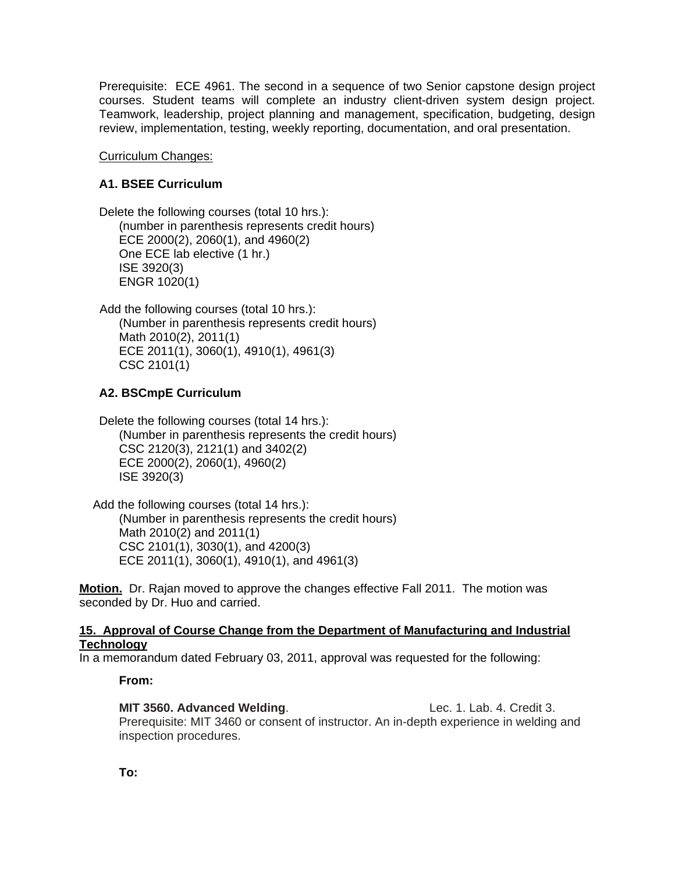Prerequisite: ECE 4961. The second in a sequence of two Senior capstone design project courses. Student teams will complete an industry client-driven system design project. Teamwork, leadership, project planning and management, specification, budgeting, design review, implementation, testing, weekly reporting, documentation, and oral presentation.

Curriculum Changes:

# **A1. BSEE Curriculum**

Delete the following courses (total 10 hrs.): (number in parenthesis represents credit hours) ECE 2000(2), 2060(1), and 4960(2) One ECE lab elective (1 hr.) ISE 3920(3) ENGR 1020(1)

 Add the following courses (total 10 hrs.): (Number in parenthesis represents credit hours) Math 2010(2), 2011(1) ECE 2011(1), 3060(1), 4910(1), 4961(3) CSC 2101(1)

# **A2. BSCmpE Curriculum**

Delete the following courses (total 14 hrs.): (Number in parenthesis represents the credit hours) CSC 2120(3), 2121(1) and 3402(2) ECE 2000(2), 2060(1), 4960(2) ISE 3920(3)

 Add the following courses (total 14 hrs.): (Number in parenthesis represents the credit hours) Math 2010(2) and 2011(1) CSC 2101(1), 3030(1), and 4200(3) ECE 2011(1), 3060(1), 4910(1), and 4961(3)

**Motion.** Dr. Rajan moved to approve the changes effective Fall 2011. The motion was seconded by Dr. Huo and carried.

## **15. Approval of Course Change from the Department of Manufacturing and Industrial Technology**

In a memorandum dated February 03, 2011, approval was requested for the following:

# **From:**

**MIT 3560. Advanced Welding.** The same section of the Lec. 1. Lab. 4. Credit 3. Prerequisite: MIT 3460 or consent of instructor. An in-depth experience in welding and inspection procedures.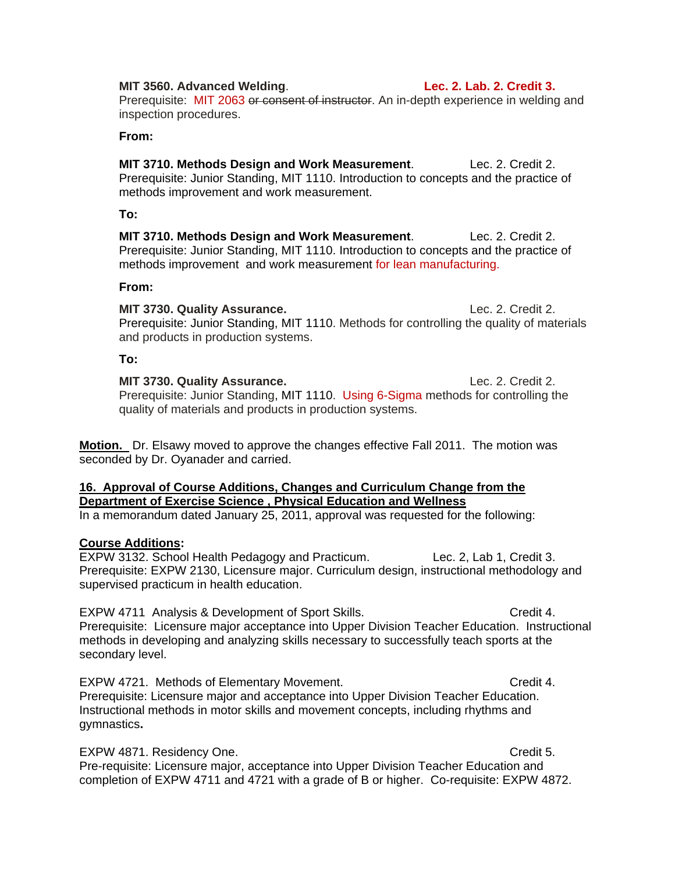#### **MIT 3560. Advanced Welding**. **Lec. 2. Lab. 2. Credit 3.**

Prerequisite: MIT 2063 or consent of instructor. An in-depth experience in welding and inspection procedures.

#### **From:**

**MIT 3710. Methods Design and Work Measurement**. Lec. 2. Credit 2. Prerequisite: Junior Standing, MIT 1110. Introduction to concepts and the practice of methods improvement and work measurement.

#### **To:**

**MIT 3710. Methods Design and Work Measurement**. Lec. 2. Credit 2. Prerequisite: Junior Standing, MIT 1110. Introduction to concepts and the practice of methods improvement and work measurement for lean manufacturing.

#### **From:**

**MIT 3730. Quality Assurance. Lec. 2. Credit 2.** Prerequisite: Junior Standing, MIT 1110. Methods for controlling the quality of materials and products in production systems.

#### **To:**

**MIT 3730. Quality Assurance. Lec. 2. Credit 2. Lec. 2. Credit 2.** Prerequisite: Junior Standing, MIT 1110. Using 6-Sigma methods for controlling the quality of materials and products in production systems.

**Motion.** Dr. Elsawy moved to approve the changes effective Fall 2011. The motion was seconded by Dr. Oyanader and carried.

# **16. Approval of Course Additions, Changes and Curriculum Change from the Department of Exercise Science , Physical Education and Wellness**

In a memorandum dated January 25, 2011, approval was requested for the following:

#### **Course Additions:**

EXPW 3132. School Health Pedagogy and Practicum. Lec. 2, Lab 1, Credit 3. Prerequisite: EXPW 2130, Licensure major. Curriculum design, instructional methodology and supervised practicum in health education.

EXPW 4711 Analysis & Development of Sport Skills. Credit 4. Prerequisite: Licensure major acceptance into Upper Division Teacher Education. Instructional methods in developing and analyzing skills necessary to successfully teach sports at the secondary level.

EXPW 4721. Methods of Elementary Movement. CRED Credit 4. Prerequisite: Licensure major and acceptance into Upper Division Teacher Education. Instructional methods in motor skills and movement concepts, including rhythms and gymnastics**.** 

EXPW 4871. Residency One. Credit 5. Pre-requisite: Licensure major, acceptance into Upper Division Teacher Education and completion of EXPW 4711 and 4721 with a grade of B or higher. Co-requisite: EXPW 4872.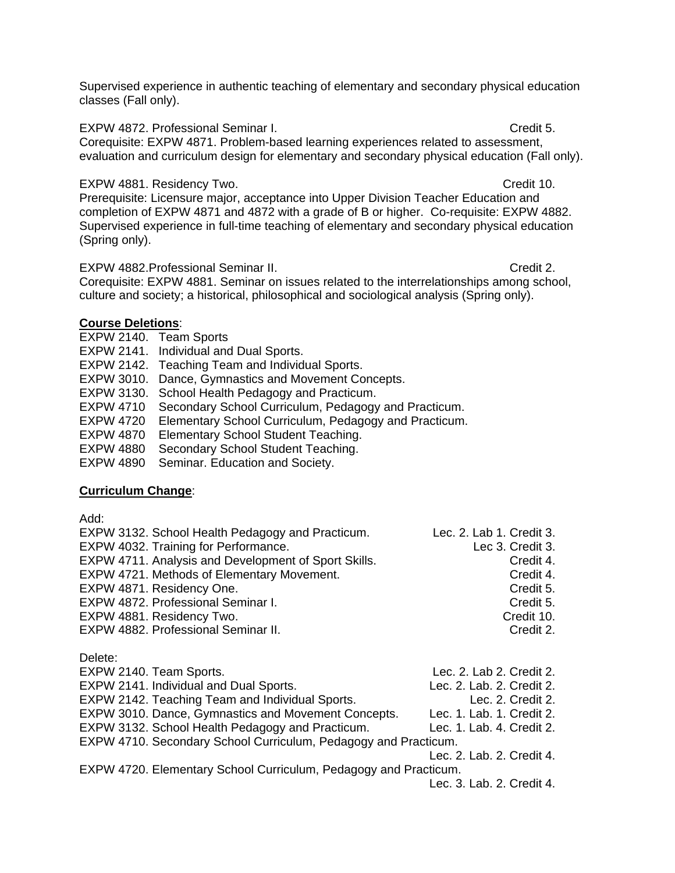Supervised experience in authentic teaching of elementary and secondary physical education classes (Fall only).

EXPW 4872. Professional Seminar I. Credit 5.

Corequisite: EXPW 4871. Problem-based learning experiences related to assessment, evaluation and curriculum design for elementary and secondary physical education (Fall only).

EXPW 4881. Residency Two. Credit 10.

Prerequisite: Licensure major, acceptance into Upper Division Teacher Education and completion of EXPW 4871 and 4872 with a grade of B or higher. Co-requisite: EXPW 4882. Supervised experience in full-time teaching of elementary and secondary physical education (Spring only).

EXPW 4882.Professional Seminar II. Credit 2.

Corequisite: EXPW 4881. Seminar on issues related to the interrelationships among school, culture and society; a historical, philosophical and sociological analysis (Spring only).

# **Course Deletions**:

- EXPW 2140. Team Sports
- EXPW 2141. Individual and Dual Sports.

EXPW 2142. Teaching Team and Individual Sports.

- EXPW 3010. Dance, Gymnastics and Movement Concepts.
- EXPW 3130. School Health Pedagogy and Practicum.

EXPW 4710 Secondary School Curriculum, Pedagogy and Practicum.

EXPW 4720 Elementary School Curriculum, Pedagogy and Practicum.

EXPW 4870 Elementary School Student Teaching.

EXPW 4880 Secondary School Student Teaching.

EXPW 4890 Seminar. Education and Society.

# **Curriculum Change**:

Add:

| EXPW 3132. School Health Pedagogy and Practicum.     | Lec. 2. Lab 1. Credit 3. |
|------------------------------------------------------|--------------------------|
| EXPW 4032. Training for Performance.                 | Lec 3. Credit 3.         |
| EXPW 4711. Analysis and Development of Sport Skills. | Credit 4.                |
| EXPW 4721. Methods of Elementary Movement.           | Credit 4.                |
| EXPW 4871. Residency One.                            | Credit 5.                |
| EXPW 4872. Professional Seminar I.                   | Credit 5.                |
| EXPW 4881. Residency Two.                            | Credit 10.               |
| EXPW 4882. Professional Seminar II.                  | Credit 2.                |

Delete:

| EXPW 2140. Team Sports.                                          | Lec. 2. Lab 2. Credit 2.                                                                                                                                                                                                                                                                                                                                                             |
|------------------------------------------------------------------|--------------------------------------------------------------------------------------------------------------------------------------------------------------------------------------------------------------------------------------------------------------------------------------------------------------------------------------------------------------------------------------|
| EXPW 2141. Individual and Dual Sports.                           | Lec. 2. Lab. 2. Credit 2.                                                                                                                                                                                                                                                                                                                                                            |
| EXPW 2142. Teaching Team and Individual Sports.                  | Lec. 2. Credit 2.                                                                                                                                                                                                                                                                                                                                                                    |
| EXPW 3010. Dance, Gymnastics and Movement Concepts.              | Lec. 1. Lab. 1. Credit 2.                                                                                                                                                                                                                                                                                                                                                            |
| EXPW 3132. School Health Pedagogy and Practicum.                 | Lec. 1. Lab. 4. Credit 2.                                                                                                                                                                                                                                                                                                                                                            |
| EXPW 4710. Secondary School Curriculum, Pedagogy and Practicum.  |                                                                                                                                                                                                                                                                                                                                                                                      |
|                                                                  | Lec. 2. Lab. 2. Credit 4.                                                                                                                                                                                                                                                                                                                                                            |
| EXPW 4720. Elementary School Curriculum, Pedagogy and Practicum. |                                                                                                                                                                                                                                                                                                                                                                                      |
|                                                                  | $\overline{a}$ $\overline{a}$ $\overline{b}$ $\overline{a}$ $\overline{b}$ $\overline{a}$ $\overline{a}$ $\overline{a}$ $\overline{a}$ $\overline{a}$ $\overline{a}$ $\overline{a}$ $\overline{a}$ $\overline{a}$ $\overline{a}$ $\overline{a}$ $\overline{a}$ $\overline{a}$ $\overline{a}$ $\overline{a}$ $\overline{a}$ $\overline{a}$ $\overline{a}$ $\overline{a}$ $\overline{$ |

Lec. 3. Lab. 2. Credit 4.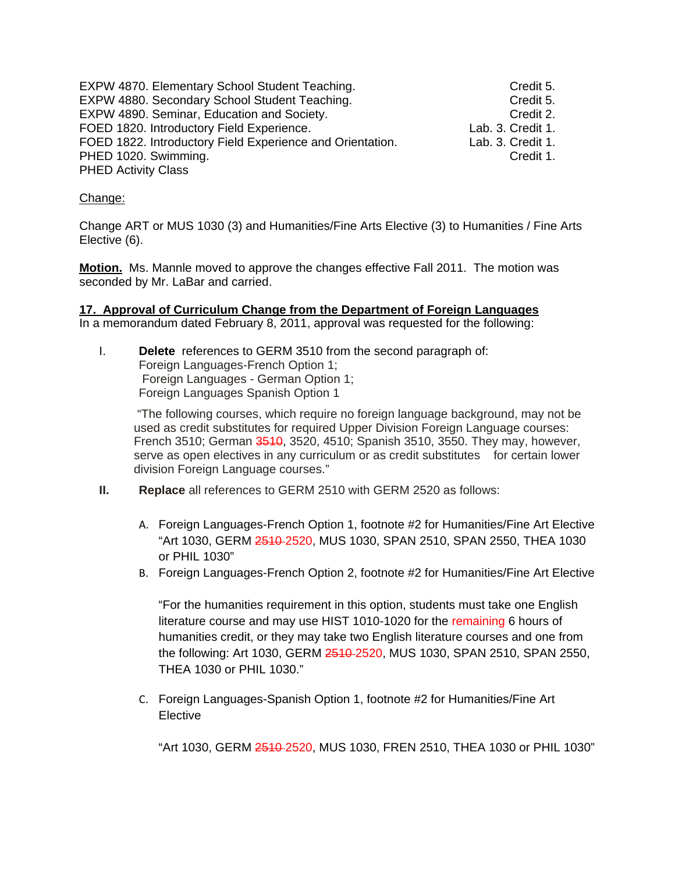EXPW 4870. Elementary School Student Teaching. Credit 5. EXPW 4880. Secondary School Student Teaching. Credit 5. EXPW 4890. Seminar, Education and Society.<br>FOED 1820. Introductory Field Experience. Credit 1. FOED 1820. Introductory Field Experience. FOED 1822. Introductory Field Experience and Orientation. Lab. 3. Credit 1. PHED 1020. Swimming. Credit 1. PHED Activity Class

### Change:

Change ART or MUS 1030 (3) and Humanities/Fine Arts Elective (3) to Humanities / Fine Arts Elective (6).

**Motion.** Ms. Mannle moved to approve the changes effective Fall 2011. The motion was seconded by Mr. LaBar and carried.

#### **17. Approval of Curriculum Change from the Department of Foreign Languages** In a memorandum dated February 8, 2011, approval was requested for the following:

I. **Delete** references to GERM 3510 from the second paragraph of: Foreign Languages-French Option 1; Foreign Languages - German Option 1; Foreign Languages Spanish Option 1

 "The following courses, which require no foreign language background, may not be used as credit substitutes for required Upper Division Foreign Language courses: French 3510; German 3540, 3520, 4510; Spanish 3510, 3550. They may, however, serve as open electives in any curriculum or as credit substitutes for certain lower division Foreign Language courses."

- **II. Replace** all references to GERM 2510 with GERM 2520 as follows:
	- A. Foreign Languages-French Option 1, footnote #2 for Humanities/Fine Art Elective "Art 1030, GERM 2510 2520, MUS 1030, SPAN 2510, SPAN 2550, THEA 1030 or PHIL 1030"
	- B. Foreign Languages-French Option 2, footnote #2 for Humanities/Fine Art Elective

"For the humanities requirement in this option, students must take one English literature course and may use HIST 1010-1020 for the remaining 6 hours of humanities credit, or they may take two English literature courses and one from the following: Art 1030, GERM 2510 2520, MUS 1030, SPAN 2510, SPAN 2550, THEA 1030 or PHIL 1030."

C. Foreign Languages-Spanish Option 1, footnote #2 for Humanities/Fine Art Elective

"Art 1030, GERM 2510 2520, MUS 1030, FREN 2510, THEA 1030 or PHIL 1030"